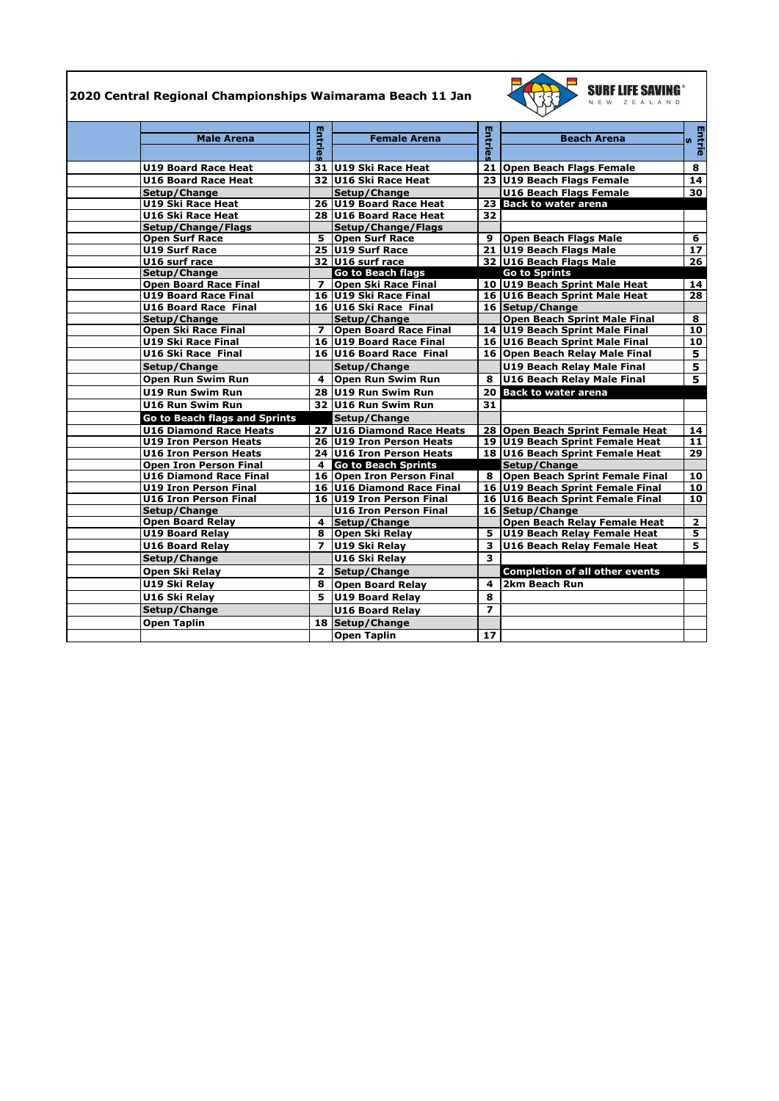## **2020 Central Regional Championships Waimarama Beach 11 Jan**



| <b>Male Arena</b>             |                | <b>Female Arena</b>          |                | <b>Beach Arena</b>                    |                 |
|-------------------------------|----------------|------------------------------|----------------|---------------------------------------|-----------------|
|                               | Entries        |                              | Entries        |                                       | Entrie<br>s     |
| <b>U19 Board Race Heat</b>    |                | 31 U19 Ski Race Heat         |                | 21 Open Beach Flags Female            | 8               |
| <b>U16 Board Race Heat</b>    |                | 32 U16 Ski Race Heat         |                | 23 U19 Beach Flags Female             | 14              |
| Setup/Change                  |                | Setup/Change                 |                | <b>U16 Beach Flags Female</b>         | 30              |
| U19 Ski Race Heat             |                | 26 U19 Board Race Heat       |                | 23 Back to water arena                |                 |
| U16 Ski Race Heat             |                | 28 U16 Board Race Heat       | 32             |                                       |                 |
| Setup/Change/Flags            |                | Setup/Change/Flags           |                |                                       |                 |
| <b>Open Surf Race</b>         | 5.             | <b>Open Surf Race</b>        |                | 9 Open Beach Flags Male               | 6               |
| <b>U19 Surf Race</b>          |                | 25 U19 Surf Race             |                | 21 U19 Beach Flags Male               | $\overline{17}$ |
| U16 surf race                 |                | 32 U16 surf race             |                | 32 U16 Beach Flags Male               | 26              |
| Setup/Change                  |                | <b>Go to Beach flags</b>     |                | <b>Go to Sprints</b>                  |                 |
| <b>Open Board Race Final</b>  |                | 7   Open Ski Race Final      |                | 10 U19 Beach Sprint Male Heat         | 14              |
| <b>U19 Board Race Final</b>   |                | 16 U19 Ski Race Final        |                | 16 U16 Beach Sprint Male Heat         | 28              |
| <b>U16 Board Race Final</b>   |                | 16 U16 Ski Race Final        |                | 16 Setup/Change                       |                 |
| Setup/Change                  |                | Setup/Change                 |                | <b>Open Beach Sprint Male Final</b>   | 8               |
| Open Ski Race Final           | $\overline{ }$ | <b>Open Board Race Final</b> |                | 14 U19 Beach Sprint Male Final        | 10              |
| <b>U19 Ski Race Final</b>     |                | 16 U19 Board Race Final      |                | 16 U16 Beach Sprint Male Final        | 10              |
| U16 Ski Race Final            |                | 16 U16 Board Race Final      |                | 16 Open Beach Relay Male Final        | 5               |
| Setup/Change                  |                | Setup/Change                 |                | <b>U19 Beach Relay Male Final</b>     | 5               |
| Open Run Swim Run             | 4              | Open Run Swim Run            | 8              | <b>U16 Beach Relay Male Final</b>     | 5               |
| <b>U19 Run Swim Run</b>       |                | 28 U19 Run Swim Run          |                | 20 Back to water arena                |                 |
| <b>U16 Run Swim Run</b>       |                | 32 U16 Run Swim Run          | 31             |                                       |                 |
| Go to Beach flags and Sprints |                | Setup/Change                 |                |                                       |                 |
| <b>U16 Diamond Race Heats</b> |                | 27 U16 Diamond Race Heats    |                | 28 Open Beach Sprint Female Heat      | 14              |
| <b>U19 Iron Person Heats</b>  |                | 26 U19 Iron Person Heats     |                | 19 U19 Beach Sprint Female Heat       | 11              |
| <b>U16 Iron Person Heats</b>  |                | 24 U16 Iron Person Heats     |                | 18 U16 Beach Sprint Female Heat       | 29              |
| <b>Open Iron Person Final</b> |                | 4 Go to Beach Sprints        |                | Setup/Change                          |                 |
| <b>U16 Diamond Race Final</b> |                | 16 Open Iron Person Final    |                | 8 Open Beach Sprint Female Final      | $\overline{10}$ |
| <b>U19 Iron Person Final</b>  |                | 16 U16 Diamond Race Final    |                | 16 U19 Beach Sprint Female Final      | 10              |
| <b>U16 Iron Person Final</b>  |                | 16 U19 Iron Person Final     |                | 16 U16 Beach Sprint Female Final      | 10              |
| Setup/Change                  |                | <b>U16 Iron Person Final</b> |                | 16 Setup/Change                       |                 |
| <b>Open Board Relay</b>       |                | 4 Setup/Change               |                | Open Beach Relay Female Heat          | $\overline{2}$  |
| <b>U19 Board Relay</b>        |                | 8 Open Ski Relay             | 5.             | U19 Beach Relay Female Heat           | 5               |
| <b>U16 Board Relay</b>        | $\overline{ }$ | U19 Ski Relay                | 3              | U16 Beach Relay Female Heat           | 5               |
| Setup/Change                  |                | U16 Ski Relay                | 3.             |                                       |                 |
| Open Ski Relay                | $\mathbf{2}$   | Setup/Change                 |                | <b>Completion of all other events</b> |                 |
| U19 Ski Relay                 | 8              | <b>Open Board Relay</b>      | 4              | 2km Beach Run                         |                 |
| U16 Ski Relay                 | 5.             | U19 Board Relay              | 8              |                                       |                 |
| Setup/Change                  |                | <b>U16 Board Relay</b>       | $\overline{z}$ |                                       |                 |
| <b>Open Taplin</b>            |                | 18 Setup/Change              |                |                                       |                 |
|                               |                | <b>Open Taplin</b>           | 17             |                                       |                 |
|                               |                |                              |                |                                       |                 |